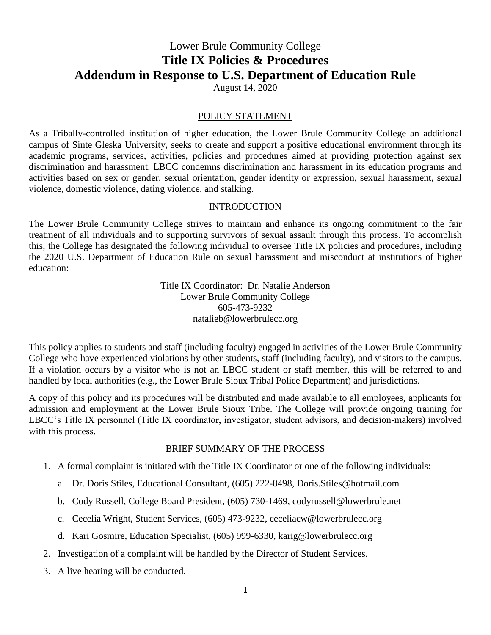# Lower Brule Community College **Title IX Policies & Procedures Addendum in Response to U.S. Department of Education Rule**

August 14, 2020

#### POLICY STATEMENT

As a Tribally-controlled institution of higher education, the Lower Brule Community College an additional campus of Sinte Gleska University, seeks to create and support a positive educational environment through its academic programs, services, activities, policies and procedures aimed at providing protection against sex discrimination and harassment. LBCC condemns discrimination and harassment in its education programs and activities based on sex or gender, sexual orientation, gender identity or expression, sexual harassment, sexual violence, domestic violence, dating violence, and stalking.

#### INTRODUCTION

The Lower Brule Community College strives to maintain and enhance its ongoing commitment to the fair treatment of all individuals and to supporting survivors of sexual assault through this process. To accomplish this, the College has designated the following individual to oversee Title IX policies and procedures, including the 2020 U.S. Department of Education Rule on sexual harassment and misconduct at institutions of higher education:

> Title IX Coordinator: Dr. Natalie Anderson Lower Brule Community College 605-473-9232 natalieb@lowerbrulecc.org

This policy applies to students and staff (including faculty) engaged in activities of the Lower Brule Community College who have experienced violations by other students, staff (including faculty), and visitors to the campus. If a violation occurs by a visitor who is not an LBCC student or staff member, this will be referred to and handled by local authorities (e.g., the Lower Brule Sioux Tribal Police Department) and jurisdictions.

A copy of this policy and its procedures will be distributed and made available to all employees, applicants for admission and employment at the Lower Brule Sioux Tribe. The College will provide ongoing training for LBCC's Title IX personnel (Title IX coordinator, investigator, student advisors, and decision-makers) involved with this process.

#### BRIEF SUMMARY OF THE PROCESS

- 1. A formal complaint is initiated with the Title IX Coordinator or one of the following individuals:
	- a. Dr. Doris Stiles, Educational Consultant, (605) 222-8498, Doris.Stiles@hotmail.com
	- b. Cody Russell, College Board President, (605) 730-1469, codyrussell@lowerbrule.net
	- c. Cecelia Wright, Student Services, (605) 473-9232, ceceliacw@lowerbrulecc.org
	- d. Kari Gosmire, Education Specialist, (605) 999-6330, karig@lowerbrulecc.org
- 2. Investigation of a complaint will be handled by the Director of Student Services.
- 3. A live hearing will be conducted.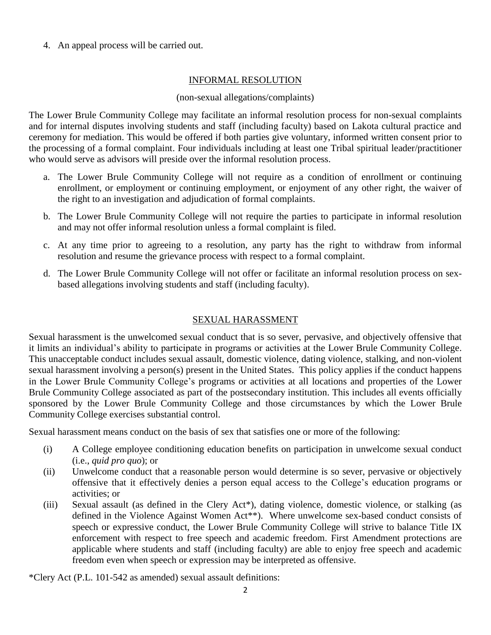4. An appeal process will be carried out.

#### INFORMAL RESOLUTION

#### (non-sexual allegations/complaints)

The Lower Brule Community College may facilitate an informal resolution process for non-sexual complaints and for internal disputes involving students and staff (including faculty) based on Lakota cultural practice and ceremony for mediation. This would be offered if both parties give voluntary, informed written consent prior to the processing of a formal complaint. Four individuals including at least one Tribal spiritual leader/practitioner who would serve as advisors will preside over the informal resolution process.

- a. The Lower Brule Community College will not require as a condition of enrollment or continuing enrollment, or employment or continuing employment, or enjoyment of any other right, the waiver of the right to an investigation and adjudication of formal complaints.
- b. The Lower Brule Community College will not require the parties to participate in informal resolution and may not offer informal resolution unless a formal complaint is filed.
- c. At any time prior to agreeing to a resolution, any party has the right to withdraw from informal resolution and resume the grievance process with respect to a formal complaint.
- d. The Lower Brule Community College will not offer or facilitate an informal resolution process on sexbased allegations involving students and staff (including faculty).

## SEXUAL HARASSMENT

Sexual harassment is the unwelcomed sexual conduct that is so sever, pervasive, and objectively offensive that it limits an individual's ability to participate in programs or activities at the Lower Brule Community College. This unacceptable conduct includes sexual assault, domestic violence, dating violence, stalking, and non-violent sexual harassment involving a person(s) present in the United States. This policy applies if the conduct happens in the Lower Brule Community College's programs or activities at all locations and properties of the Lower Brule Community College associated as part of the postsecondary institution. This includes all events officially sponsored by the Lower Brule Community College and those circumstances by which the Lower Brule Community College exercises substantial control.

Sexual harassment means conduct on the basis of sex that satisfies one or more of the following:

- (i) A College employee conditioning education benefits on participation in unwelcome sexual conduct (i.e., *quid pro quo*); or
- (ii) Unwelcome conduct that a reasonable person would determine is so sever, pervasive or objectively offensive that it effectively denies a person equal access to the College's education programs or activities; or
- (iii) Sexual assault (as defined in the Clery Act\*), dating violence, domestic violence, or stalking (as defined in the Violence Against Women Act\*\*). Where unwelcome sex-based conduct consists of speech or expressive conduct, the Lower Brule Community College will strive to balance Title IX enforcement with respect to free speech and academic freedom. First Amendment protections are applicable where students and staff (including faculty) are able to enjoy free speech and academic freedom even when speech or expression may be interpreted as offensive.

\*Clery Act (P.L. 101-542 as amended) sexual assault definitions: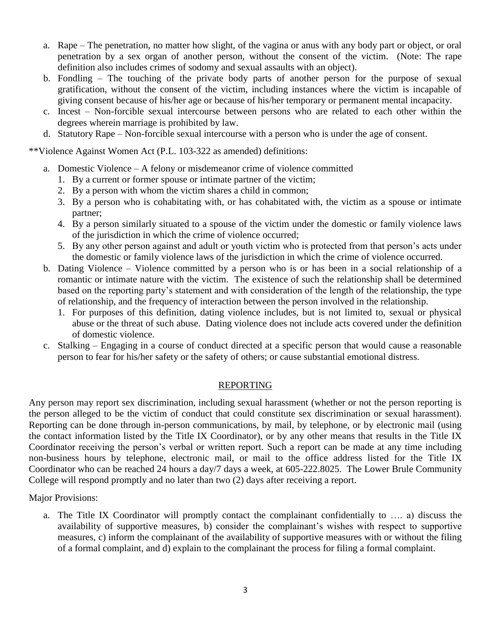- a. Rape The penetration, no matter how slight, of the vagina or anus with any body part or object, or oral penetration by a sex organ of another person, without the consent of the victim. (Note: The rape definition also includes crimes of sodomy and sexual assaults with an object).
- b. Fondling The touching of the private body parts of another person for the purpose of sexual gratification, without the consent of the victim, including instances where the victim is incapable of giving consent because of his/her age or because of his/her temporary or permanent mental incapacity.
- c. Incest Non-forcible sexual intercourse between persons who are related to each other within the degrees wherein marriage is prohibited by law.
- d. Statutory Rape Non-forcible sexual intercourse with a person who is under the age of consent.

\*\*Violence Against Women Act (P.L. 103-322 as amended) definitions:

- a. Domestic Violence A felony or misdemeanor crime of violence committed
	- 1. By a current or former spouse or intimate partner of the victim;
	- 2. By a person with whom the victim shares a child in common;
	- 3. By a person who is cohabitating with, or has cohabitated with, the victim as a spouse or intimate partner;
	- 4. By a person similarly situated to a spouse of the victim under the domestic or family violence laws of the jurisdiction in which the crime of violence occurred;
	- 5. By any other person against and adult or youth victim who is protected from that person's acts under the domestic or family violence laws of the jurisdiction in which the crime of violence occurred.
- b. Dating Violence Violence committed by a person who is or has been in a social relationship of a romantic or intimate nature with the victim. The existence of such the relationship shall be determined based on the reporting party's statement and with consideration of the length of the relationship, the type of relationship, and the frequency of interaction between the person involved in the relationship.
	- 1. For purposes of this definition, dating violence includes, but is not limited to, sexual or physical abuse or the threat of such abuse. Dating violence does not include acts covered under the definition of domestic violence.
- c. Stalking Engaging in a course of conduct directed at a specific person that would cause a reasonable person to fear for his/her safety or the safety of others; or cause substantial emotional distress.

## REPORTING

Any person may report sex discrimination, including sexual harassment (whether or not the person reporting is the person alleged to be the victim of conduct that could constitute sex discrimination or sexual harassment). Reporting can be done through in-person communications, by mail, by telephone, or by electronic mail (using the contact information listed by the Title IX Coordinator), or by any other means that results in the Title IX Coordinator receiving the person's verbal or written report. Such a report can be made at any time including non-business hours by telephone, electronic mail, or mail to the office address listed for the Title IX Coordinator who can be reached 24 hours a day/7 days a week, at 605-222.8025. The Lower Brule Community College will respond promptly and no later than two (2) days after receiving a report.

Major Provisions:

a. The Title IX Coordinator will promptly contact the complainant confidentially to …. a) discuss the availability of supportive measures, b) consider the complainant's wishes with respect to supportive measures, c) inform the complainant of the availability of supportive measures with or without the filing of a formal complaint, and d) explain to the complainant the process for filing a formal complaint.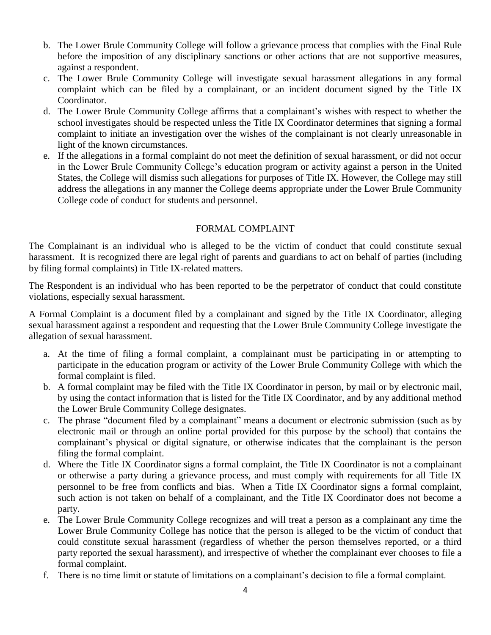- b. The Lower Brule Community College will follow a grievance process that complies with the Final Rule before the imposition of any disciplinary sanctions or other actions that are not supportive measures, against a respondent.
- c. The Lower Brule Community College will investigate sexual harassment allegations in any formal complaint which can be filed by a complainant, or an incident document signed by the Title IX Coordinator.
- d. The Lower Brule Community College affirms that a complainant's wishes with respect to whether the school investigates should be respected unless the Title IX Coordinator determines that signing a formal complaint to initiate an investigation over the wishes of the complainant is not clearly unreasonable in light of the known circumstances.
- e. If the allegations in a formal complaint do not meet the definition of sexual harassment, or did not occur in the Lower Brule Community College's education program or activity against a person in the United States, the College will dismiss such allegations for purposes of Title IX. However, the College may still address the allegations in any manner the College deems appropriate under the Lower Brule Community College code of conduct for students and personnel.

#### FORMAL COMPLAINT

The Complainant is an individual who is alleged to be the victim of conduct that could constitute sexual harassment. It is recognized there are legal right of parents and guardians to act on behalf of parties (including by filing formal complaints) in Title IX-related matters.

The Respondent is an individual who has been reported to be the perpetrator of conduct that could constitute violations, especially sexual harassment.

A Formal Complaint is a document filed by a complainant and signed by the Title IX Coordinator, alleging sexual harassment against a respondent and requesting that the Lower Brule Community College investigate the allegation of sexual harassment.

- a. At the time of filing a formal complaint, a complainant must be participating in or attempting to participate in the education program or activity of the Lower Brule Community College with which the formal complaint is filed.
- b. A formal complaint may be filed with the Title IX Coordinator in person, by mail or by electronic mail, by using the contact information that is listed for the Title IX Coordinator, and by any additional method the Lower Brule Community College designates.
- c. The phrase "document filed by a complainant" means a document or electronic submission (such as by electronic mail or through an online portal provided for this purpose by the school) that contains the complainant's physical or digital signature, or otherwise indicates that the complainant is the person filing the formal complaint.
- d. Where the Title IX Coordinator signs a formal complaint, the Title IX Coordinator is not a complainant or otherwise a party during a grievance process, and must comply with requirements for all Title IX personnel to be free from conflicts and bias. When a Title IX Coordinator signs a formal complaint, such action is not taken on behalf of a complainant, and the Title IX Coordinator does not become a party.
- e. The Lower Brule Community College recognizes and will treat a person as a complainant any time the Lower Brule Community College has notice that the person is alleged to be the victim of conduct that could constitute sexual harassment (regardless of whether the person themselves reported, or a third party reported the sexual harassment), and irrespective of whether the complainant ever chooses to file a formal complaint.
- f. There is no time limit or statute of limitations on a complainant's decision to file a formal complaint.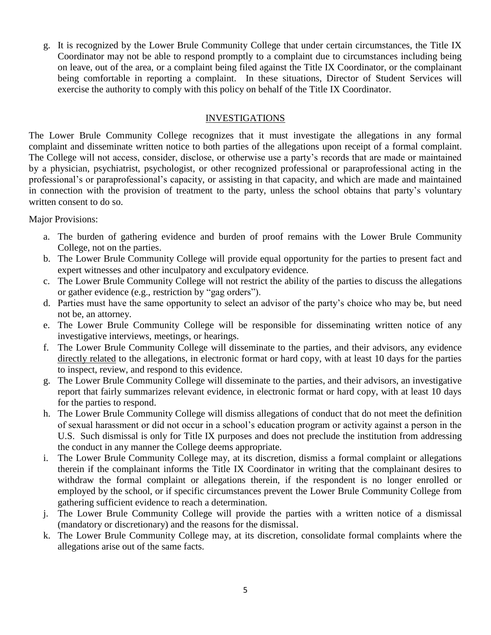g. It is recognized by the Lower Brule Community College that under certain circumstances, the Title IX Coordinator may not be able to respond promptly to a complaint due to circumstances including being on leave, out of the area, or a complaint being filed against the Title IX Coordinator, or the complainant being comfortable in reporting a complaint. In these situations, Director of Student Services will exercise the authority to comply with this policy on behalf of the Title IX Coordinator.

#### INVESTIGATIONS

The Lower Brule Community College recognizes that it must investigate the allegations in any formal complaint and disseminate written notice to both parties of the allegations upon receipt of a formal complaint. The College will not access, consider, disclose, or otherwise use a party's records that are made or maintained by a physician, psychiatrist, psychologist, or other recognized professional or paraprofessional acting in the professional's or paraprofessional's capacity, or assisting in that capacity, and which are made and maintained in connection with the provision of treatment to the party, unless the school obtains that party's voluntary written consent to do so.

Major Provisions:

- a. The burden of gathering evidence and burden of proof remains with the Lower Brule Community College, not on the parties.
- b. The Lower Brule Community College will provide equal opportunity for the parties to present fact and expert witnesses and other inculpatory and exculpatory evidence.
- c. The Lower Brule Community College will not restrict the ability of the parties to discuss the allegations or gather evidence (e.g., restriction by "gag orders").
- d. Parties must have the same opportunity to select an advisor of the party's choice who may be, but need not be, an attorney.
- e. The Lower Brule Community College will be responsible for disseminating written notice of any investigative interviews, meetings, or hearings.
- f. The Lower Brule Community College will disseminate to the parties, and their advisors, any evidence directly related to the allegations, in electronic format or hard copy, with at least 10 days for the parties to inspect, review, and respond to this evidence.
- g. The Lower Brule Community College will disseminate to the parties, and their advisors, an investigative report that fairly summarizes relevant evidence, in electronic format or hard copy, with at least 10 days for the parties to respond.
- h. The Lower Brule Community College will dismiss allegations of conduct that do not meet the definition of sexual harassment or did not occur in a school's education program or activity against a person in the U.S. Such dismissal is only for Title IX purposes and does not preclude the institution from addressing the conduct in any manner the College deems appropriate.
- i. The Lower Brule Community College may, at its discretion, dismiss a formal complaint or allegations therein if the complainant informs the Title IX Coordinator in writing that the complainant desires to withdraw the formal complaint or allegations therein, if the respondent is no longer enrolled or employed by the school, or if specific circumstances prevent the Lower Brule Community College from gathering sufficient evidence to reach a determination.
- j. The Lower Brule Community College will provide the parties with a written notice of a dismissal (mandatory or discretionary) and the reasons for the dismissal.
- k. The Lower Brule Community College may, at its discretion, consolidate formal complaints where the allegations arise out of the same facts.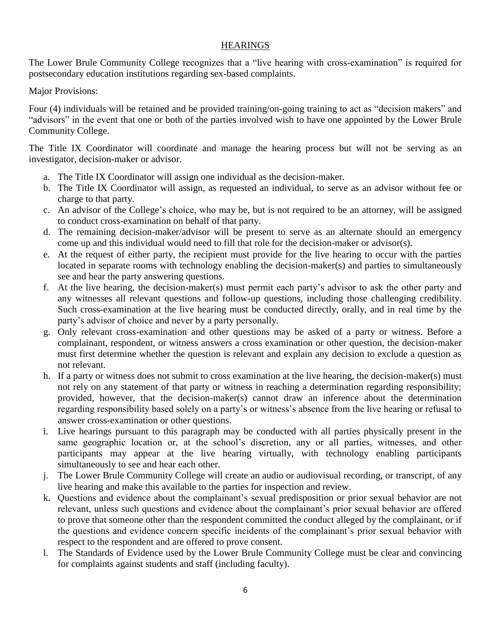#### **HEARINGS**

The Lower Brule Community College recognizes that a "live hearing with cross-examination" is required for postsecondary education institutions regarding sex-based complaints.

Major Provisions:

Four (4) individuals will be retained and be provided training/on-going training to act as "decision makers" and "advisors" in the event that one or both of the parties involved wish to have one appointed by the Lower Brule Community College.

The Title IX Coordinator will coordinate and manage the hearing process but will not be serving as an investigator, decision-maker or advisor.

- a. The Title IX Coordinator will assign one individual as the decision-maker.
- b. The Title IX Coordinator will assign, as requested an individual, to serve as an advisor without fee or charge to that party.
- c. An advisor of the College's choice, who may be, but is not required to be an attorney, will be assigned to conduct cross-examination on behalf of that party.
- d. The remaining decision-maker/advisor will be present to serve as an alternate should an emergency come up and this individual would need to fill that role for the decision-maker or advisor(s).
- e. At the request of either party, the recipient must provide for the live hearing to occur with the parties located in separate rooms with technology enabling the decision-maker(s) and parties to simultaneously see and hear the party answering questions.
- f. At the live hearing, the decision-maker(s) must permit each party's advisor to ask the other party and any witnesses all relevant questions and follow-up questions, including those challenging credibility. Such cross-examination at the live hearing must be conducted directly, orally, and in real time by the party's advisor of choice and never by a party personally.
- g. Only relevant cross-examination and other questions may be asked of a party or witness. Before a complainant, respondent, or witness answers a cross examination or other question, the decision-maker must first determine whether the question is relevant and explain any decision to exclude a question as not relevant.
- h. If a party or witness does not submit to cross examination at the live hearing, the decision-maker(s) must not rely on any statement of that party or witness in reaching a determination regarding responsibility; provided, however, that the decision-maker(s) cannot draw an inference about the determination regarding responsibility based solely on a party's or witness's absence from the live hearing or refusal to answer cross-examination or other questions.
- i. Live hearings pursuant to this paragraph may be conducted with all parties physically present in the same geographic location or, at the school's discretion, any or all parties, witnesses, and other participants may appear at the live hearing virtually, with technology enabling participants simultaneously to see and hear each other.
- j. The Lower Brule Community College will create an audio or audiovisual recording, or transcript, of any live hearing and make this available to the parties for inspection and review.
- k. Questions and evidence about the complainant's sexual predisposition or prior sexual behavior are not relevant, unless such questions and evidence about the complainant's prior sexual behavior are offered to prove that someone other than the respondent committed the conduct alleged by the complainant, or if the questions and evidence concern specific incidents of the complainant's prior sexual behavior with respect to the respondent and are offered to prove consent.
- l. The Standards of Evidence used by the Lower Brule Community College must be clear and convincing for complaints against students and staff (including faculty).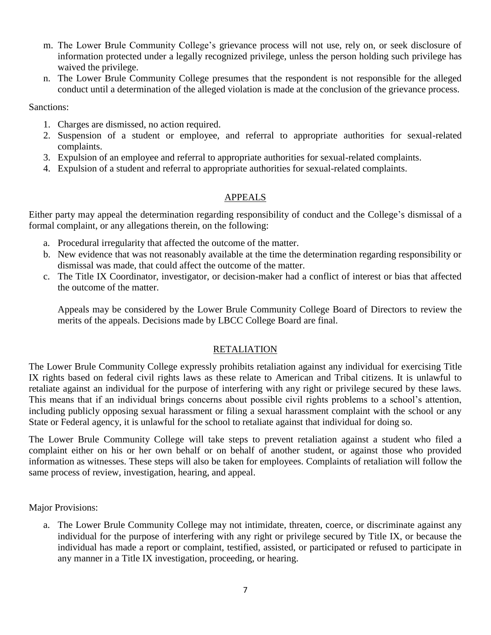- m. The Lower Brule Community College's grievance process will not use, rely on, or seek disclosure of information protected under a legally recognized privilege, unless the person holding such privilege has waived the privilege.
- n. The Lower Brule Community College presumes that the respondent is not responsible for the alleged conduct until a determination of the alleged violation is made at the conclusion of the grievance process.

Sanctions:

- 1. Charges are dismissed, no action required.
- 2. Suspension of a student or employee, and referral to appropriate authorities for sexual-related complaints.
- 3. Expulsion of an employee and referral to appropriate authorities for sexual-related complaints.
- 4. Expulsion of a student and referral to appropriate authorities for sexual-related complaints.

## APPEALS

Either party may appeal the determination regarding responsibility of conduct and the College's dismissal of a formal complaint, or any allegations therein, on the following:

- a. Procedural irregularity that affected the outcome of the matter.
- b. New evidence that was not reasonably available at the time the determination regarding responsibility or dismissal was made, that could affect the outcome of the matter.
- c. The Title IX Coordinator, investigator, or decision-maker had a conflict of interest or bias that affected the outcome of the matter.

Appeals may be considered by the Lower Brule Community College Board of Directors to review the merits of the appeals. Decisions made by LBCC College Board are final.

## RETALIATION

The Lower Brule Community College expressly prohibits retaliation against any individual for exercising Title IX rights based on federal civil rights laws as these relate to American and Tribal citizens. It is unlawful to retaliate against an individual for the purpose of interfering with any right or privilege secured by these laws. This means that if an individual brings concerns about possible civil rights problems to a school's attention, including publicly opposing sexual harassment or filing a sexual harassment complaint with the school or any State or Federal agency, it is unlawful for the school to retaliate against that individual for doing so.

The Lower Brule Community College will take steps to prevent retaliation against a student who filed a complaint either on his or her own behalf or on behalf of another student, or against those who provided information as witnesses. These steps will also be taken for employees. Complaints of retaliation will follow the same process of review, investigation, hearing, and appeal.

Major Provisions:

a. The Lower Brule Community College may not intimidate, threaten, coerce, or discriminate against any individual for the purpose of interfering with any right or privilege secured by Title IX, or because the individual has made a report or complaint, testified, assisted, or participated or refused to participate in any manner in a Title IX investigation, proceeding, or hearing.